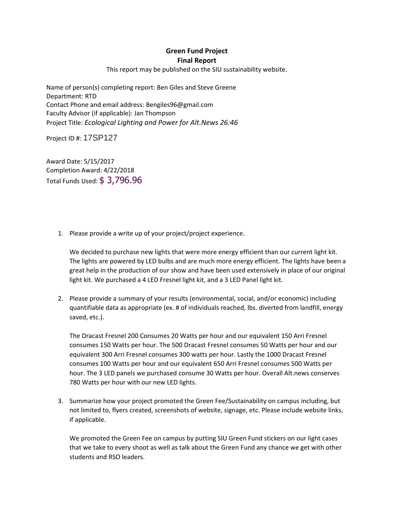## **Green Fund Project Final Report**

This report may be published on the SIU sustainability website.

Name of person(s) completing report: Ben Giles and Steve Greene Department: RTD Contact Phone and email address: Bengiles96@gmail.com Faculty Advisor (if applicable): Jan Thompson Project Title: *Ecological Lighting and Power for Alt.News 26:46*

Project ID #: 17SP127

Award Date: 5/15/2017 Completion Award: 4/22/2018 Total Funds Used: \$ 3,796.96

1. Please provide a write up of your project/project experience.

We decided to purchase new lights that were more energy efficient than our current light kit. The lights are powered by LED bulbs and are much more energy efficient. The lights have been a great help in the production of our show and have been used extensively in place of our original light kit. We purchased a 4 LED Fresnel light kit, and a 3 LED Panel light kit.

2. Please provide a summary of your results (environmental, social, and/or economic) including quantifiable data as appropriate (ex. # of individuals reached, lbs. diverted from landfill, energy saved, etc.).

The Dracast Fresnel 200 Consumes 20 Watts per hour and our equivalent 150 Arri Fresnel consumes 150 Watts per hour. The 500 Dracast Fresnel consumes 50 Watts per hour and our equivalent 300 Arri Fresnel consumes 300 watts per hour. Lastly the 1000 Dracast Fresnel consumes 100 Watts per hour and our equivalent 650 Arri Fresnel consumes 500 Watts per hour. The 3 LED panels we purchased consume 30 Watts per hour. Overall Alt.news conserves 780 Watts per hour with our new LED lights.

3. Summarize how your project promoted the Green Fee/Sustainability on campus including, but not limited to, flyers created, screenshots of website, signage, etc. Please include website links, if applicable.

We promoted the Green Fee on campus by putting SIU Green Fund stickers on our light cases that we take to every shoot as well as talk about the Green Fund any chance we get with other students and RSO leaders.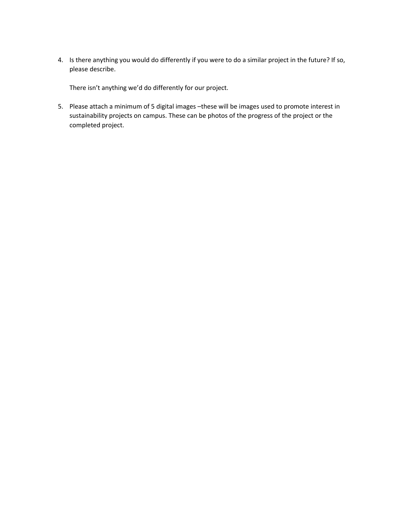4. Is there anything you would do differently if you were to do a similar project in the future? If so, please describe.

There isn't anything we'd do differently for our project.

5. Please attach a minimum of 5 digital images –these will be images used to promote interest in sustainability projects on campus. These can be photos of the progress of the project or the completed project.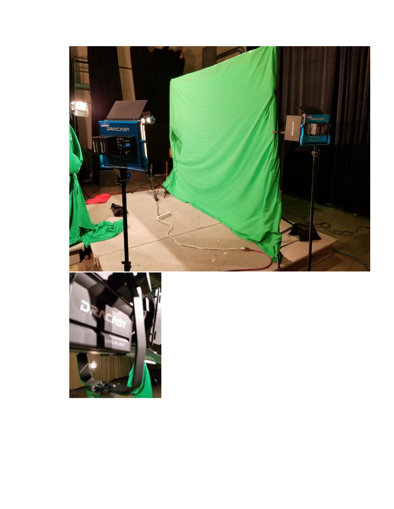

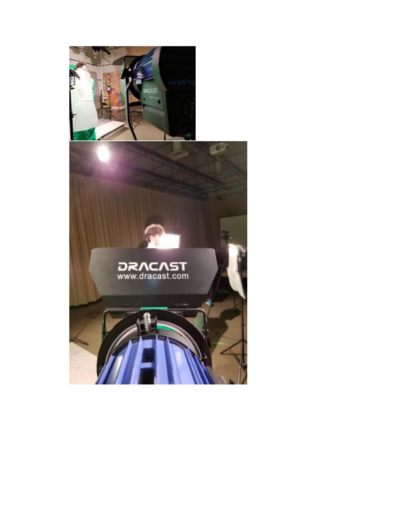